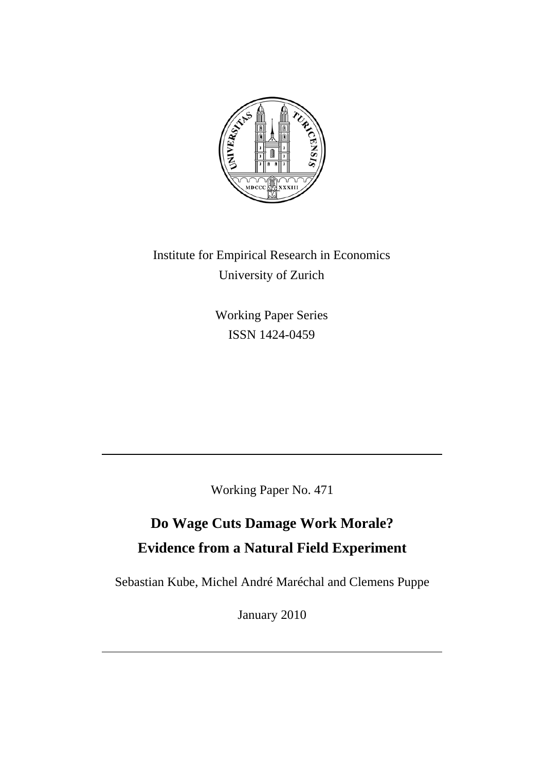

Institute for Empirical Research in Economics University of Zurich

> Working Paper Series ISSN 1424-0459

Working Paper No. 471

# **Do Wage Cuts Damage Work Morale? Evidence from a Natural Field Experiment**

Sebastian Kube, Michel André Maréchal and Clemens Puppe

January 2010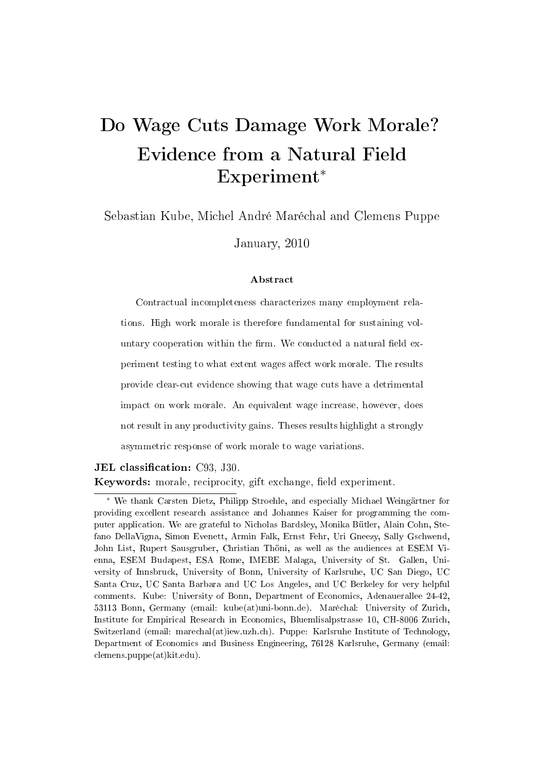# Do Wage Cuts Damage Work Morale? Evidence from a Natural Field Experiment<sup>∗</sup>

Sebastian Kube, Michel André Maréchal and Clemens Puppe

January, 2010

#### Abstract

Contractual incompleteness characterizes many employment relations. High work morale is therefore fundamental for sustaining voluntary cooperation within the firm. We conducted a natural field experiment testing to what extent wages affect work morale. The results provide clear-cut evidence showing that wage cuts have a detrimental impact on work morale. An equivalent wage increase, however, does not result in any productivity gains. Theses results highlight a strongly asymmetric response of work morale to wage variations.

**JEL** classification: C93, J30. Keywords: morale, reciprocity, gift exchange, field experiment.

<sup>∗</sup> We thank Carsten Dietz, Philipp Stroehle, and especially Michael Weingärtner for providing excellent research assistance and Johannes Kaiser for programming the computer application. We are grateful to Nicholas Bardsley, Monika Bütler, Alain Cohn, Stefano DellaVigna, Simon Evenett, Armin Falk, Ernst Fehr, Uri Gneezy, Sally Gschwend, John List, Rupert Sausgruber, Christian Thöni, as well as the audiences at ESEM Vienna, ESEM Budapest, ESA Rome, IMEBE Malaga, University of St. Gallen, University of Innsbruck, University of Bonn, University of Karlsruhe, UC San Diego, UC Santa Cruz, UC Santa Barbara and UC Los Angeles, and UC Berkeley for very helpful comments. Kube: University of Bonn, Department of Economics, Adenauerallee 24-42, 53113 Bonn, Germany (email: kube(at)uni-bonn.de). Maréchal: University of Zurich, Institute for Empirical Research in Economics, Bluemlisalpstrasse 10, CH-8006 Zurich, Switzerland (email: marechal(at)iew.uzh.ch). Puppe: Karlsruhe Institute of Technology, Department of Economics and Business Engineering, 76128 Karlsruhe, Germany (email: clemens.puppe(at)kit.edu).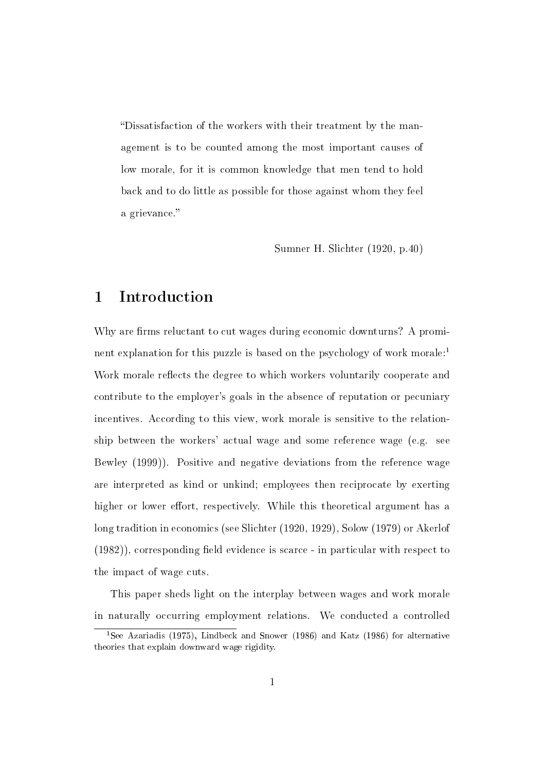Dissatisfaction of the workers with their treatment by the management is to be counted among the most important causes of low morale, for it is common knowledge that men tend to hold back and to do little as possible for those against whom they feel a grievance.

Sumner H. Slichter (1920, p.40)

### 1 Introduction

Why are firms reluctant to cut wages during economic downturns? A prominent explanation for this puzzle is based on the psychology of work morale:<sup>1</sup> Work morale reflects the degree to which workers voluntarily cooperate and contribute to the employer's goals in the absence of reputation or pecuniary incentives. According to this view, work morale is sensitive to the relationship between the workers' actual wage and some reference wage (e.g. see Bewley (1999)). Positive and negative deviations from the reference wage are interpreted as kind or unkind; employees then reciprocate by exerting higher or lower effort, respectively. While this theoretical argument has a long tradition in economics (see Slichter (1920, 1929), Solow (1979) or Akerlof  $(1982)$ , corresponding field evidence is scarce - in particular with respect to the impact of wage cuts.

This paper sheds light on the interplay between wages and work morale in naturally occurring employment relations. We conducted a controlled

<sup>&</sup>lt;sup>1</sup>See Azariadis (1975), Lindbeck and Snower (1986) and Katz (1986) for alternative theories that explain downward wage rigidity.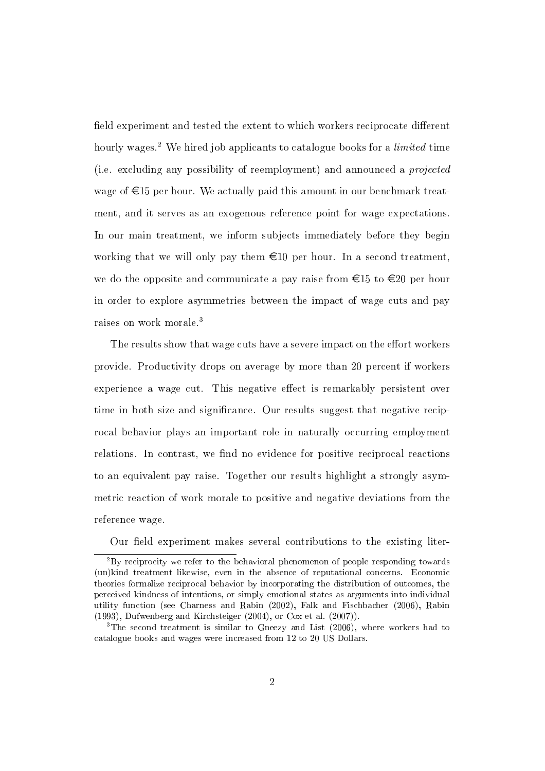field experiment and tested the extent to which workers reciprocate different hourly wages.<sup>2</sup> We hired job applicants to catalogue books for a *limited* time (i.e. excluding any possibility of reemployment) and announced a projected wage of  $\epsilon$ 15 per hour. We actually paid this amount in our benchmark treatment, and it serves as an exogenous reference point for wage expectations. In our main treatment, we inform subjects immediately before they begin working that we will only pay them  $\epsilon 10$  per hour. In a second treatment, we do the opposite and communicate a pay raise from  $\epsilon$ 15 to  $\epsilon$ 20 per hour in order to explore asymmetries between the impact of wage cuts and pay raises on work morale.<sup>3</sup>

The results show that wage cuts have a severe impact on the effort workers provide. Productivity drops on average by more than 20 percent if workers experience a wage cut. This negative effect is remarkably persistent over time in both size and significance. Our results suggest that negative reciprocal behavior plays an important role in naturally occurring employment relations. In contrast, we find no evidence for positive reciprocal reactions to an equivalent pay raise. Together our results highlight a strongly asymmetric reaction of work morale to positive and negative deviations from the reference wage.

Our field experiment makes several contributions to the existing liter-

 $^{2}$ By reciprocity we refer to the behavioral phenomenon of people responding towards (un)kind treatment likewise, even in the absence of reputational concerns. Economic theories formalize reciprocal behavior by incorporating the distribution of outcomes, the perceived kindness of intentions, or simply emotional states as arguments into individual utility function (see Charness and Rabin (2002), Falk and Fischbacher (2006), Rabin (1993), Dufwenberg and Kirchsteiger (2004), or Cox et al. (2007)).

<sup>&</sup>lt;sup>3</sup>The second treatment is similar to Gneezy and List (2006), where workers had to catalogue books and wages were increased from 12 to 20 US Dollars.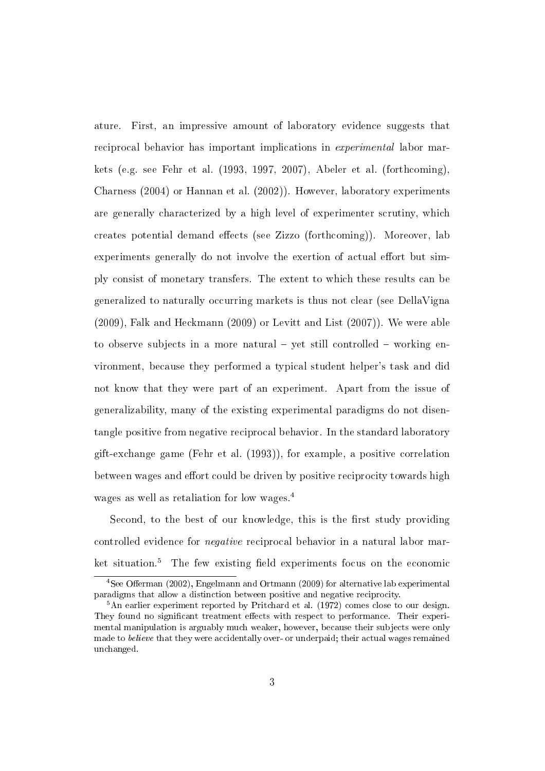ature. First, an impressive amount of laboratory evidence suggests that reciprocal behavior has important implications in experimental labor markets (e.g. see Fehr et al. (1993, 1997, 2007), Abeler et al. (forthcoming), Charness (2004) or Hannan et al. (2002)). However, laboratory experiments are generally characterized by a high level of experimenter scrutiny, which creates potential demand effects (see Zizzo (forthcoming)). Moreover, lab experiments generally do not involve the exertion of actual effort but simply consist of monetary transfers. The extent to which these results can be generalized to naturally occurring markets is thus not clear (see DellaVigna (2009), Falk and Heckmann (2009) or Levitt and List (2007)). We were able to observe subjects in a more natural  $-$  yet still controlled  $-$  working environment, because they performed a typical student helper's task and did not know that they were part of an experiment. Apart from the issue of generalizability, many of the existing experimental paradigms do not disentangle positive from negative reciprocal behavior. In the standard laboratory gift-exchange game (Fehr et al. (1993)), for example, a positive correlation between wages and effort could be driven by positive reciprocity towards high wages as well as retaliation for low wages.<sup>4</sup>

Second, to the best of our knowledge, this is the first study providing controlled evidence for negative reciprocal behavior in a natural labor market situation. $5$  The few existing field experiments focus on the economic

 $4$ See Offerman (2002), Engelmann and Ortmann (2009) for alternative lab experimental paradigms that allow a distinction between positive and negative reciprocity.

<sup>5</sup>An earlier experiment reported by Pritchard et al. (1972) comes close to our design. They found no significant treatment effects with respect to performance. Their experimental manipulation is arguably much weaker, however, because their subjects were only made to believe that they were accidentally over- or underpaid; their actual wages remained unchanged.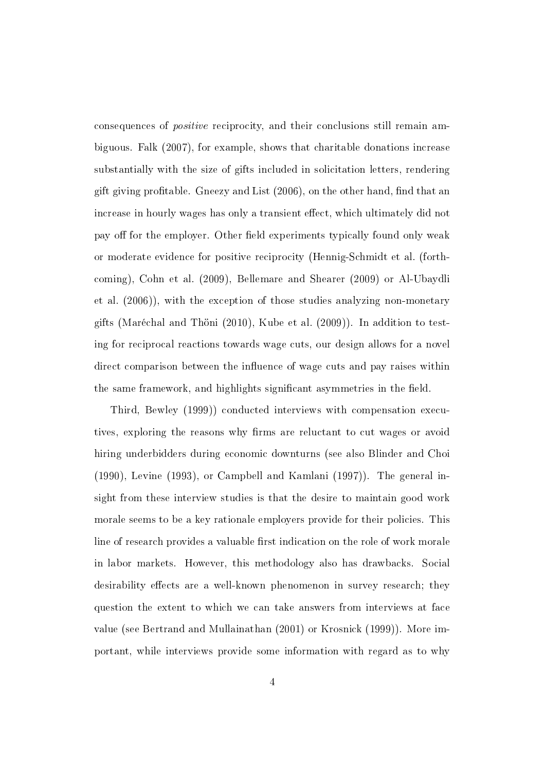consequences of positive reciprocity, and their conclusions still remain ambiguous. Falk (2007), for example, shows that charitable donations increase substantially with the size of gifts included in solicitation letters, rendering gift giving profitable. Gneezy and List  $(2006)$ , on the other hand, find that an increase in hourly wages has only a transient effect, which ultimately did not pay off for the employer. Other field experiments typically found only weak or moderate evidence for positive reciprocity (Hennig-Schmidt et al. (forthcoming), Cohn et al. (2009), Bellemare and Shearer (2009) or Al-Ubaydli et al. (2006)), with the exception of those studies analyzing non-monetary gifts (Maréchal and Thöni (2010), Kube et al. (2009)). In addition to testing for reciprocal reactions towards wage cuts, our design allows for a novel direct comparison between the influence of wage cuts and pay raises within the same framework, and highlights significant asymmetries in the field.

Third, Bewley (1999)) conducted interviews with compensation executives, exploring the reasons why firms are reluctant to cut wages or avoid hiring underbidders during economic downturns (see also Blinder and Choi (1990), Levine (1993), or Campbell and Kamlani (1997)). The general insight from these interview studies is that the desire to maintain good work morale seems to be a key rationale employers provide for their policies. This line of research provides a valuable first indication on the role of work morale in labor markets. However, this methodology also has drawbacks. Social desirability effects are a well-known phenomenon in survey research; they question the extent to which we can take answers from interviews at face value (see Bertrand and Mullainathan (2001) or Krosnick (1999)). More important, while interviews provide some information with regard as to why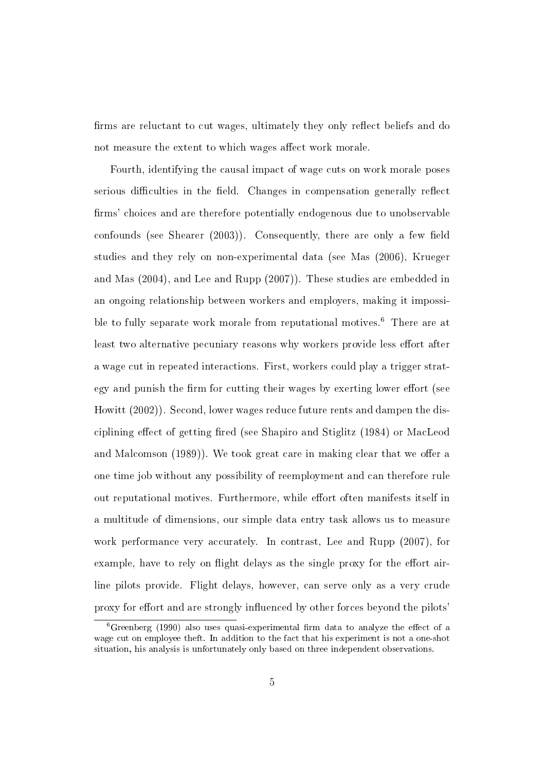firms are reluctant to cut wages, ultimately they only reflect beliefs and do not measure the extent to which wages affect work morale.

Fourth, identifying the causal impact of wage cuts on work morale poses serious difficulties in the field. Changes in compensation generally reflect firms' choices and are therefore potentially endogenous due to unobservable confounds (see Shearer  $(2003)$ ). Consequently, there are only a few field studies and they rely on non-experimental data (see Mas (2006), Krueger and Mas (2004), and Lee and Rupp (2007)). These studies are embedded in an ongoing relationship between workers and employers, making it impossible to fully separate work morale from reputational motives.<sup>6</sup> There are at least two alternative pecuniary reasons why workers provide less effort after a wage cut in repeated interactions. First, workers could play a trigger strategy and punish the firm for cutting their wages by exerting lower effort (see Howitt (2002)). Second, lower wages reduce future rents and dampen the disciplining effect of getting fired (see Shapiro and Stiglitz  $(1984)$ ) or MacLeod and Malcomson (1989)). We took great care in making clear that we offer a one time job without any possibility of reemployment and can therefore rule out reputational motives. Furthermore, while effort often manifests itself in a multitude of dimensions, our simple data entry task allows us to measure work performance very accurately. In contrast, Lee and Rupp (2007), for example, have to rely on flight delays as the single proxy for the effort airline pilots provide. Flight delays, however, can serve only as a very crude proxy for effort and are strongly influenced by other forces beyond the pilots'

 $6G$ reenberg (1990) also uses quasi-experimental firm data to analyze the effect of a wage cut on employee theft. In addition to the fact that his experiment is not a one-shot situation, his analysis is unfortunately only based on three independent observations.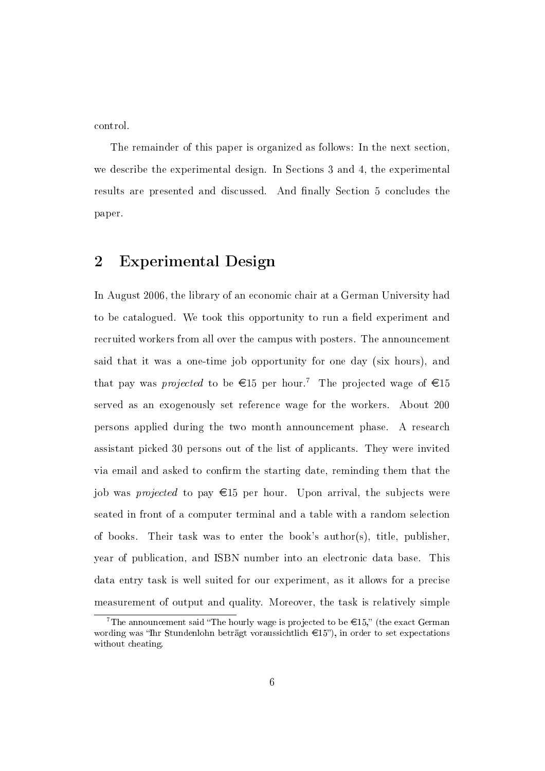control.

The remainder of this paper is organized as follows: In the next section, we describe the experimental design. In Sections 3 and 4, the experimental results are presented and discussed. And finally Section 5 concludes the paper.

## 2 Experimental Design

In August 2006, the library of an economic chair at a German University had to be catalogued. We took this opportunity to run a field experiment and recruited workers from all over the campus with posters. The announcement said that it was a one-time job opportunity for one day (six hours), and that pay was *projected* to be  $\epsilon$ 15 per hour.<sup>7</sup> The projected wage of  $\epsilon$ 15 served as an exogenously set reference wage for the workers. About 200 persons applied during the two month announcement phase. A research assistant picked 30 persons out of the list of applicants. They were invited via email and asked to confirm the starting date, reminding them that the job was *projected* to pay  $\epsilon$ 15 per hour. Upon arrival, the subjects were seated in front of a computer terminal and a table with a random selection of books. Their task was to enter the book's author(s), title, publisher, year of publication, and ISBN number into an electronic data base. This data entry task is well suited for our experiment, as it allows for a precise measurement of output and quality. Moreover, the task is relatively simple

<sup>&</sup>lt;sup>7</sup>The announcement said "The hourly wage is projected to be  $\in$ 15," (the exact German wording was "Ihr Stundenlohn beträgt voraussichtlich  $\epsilon$ 15"), in order to set expectations without cheating.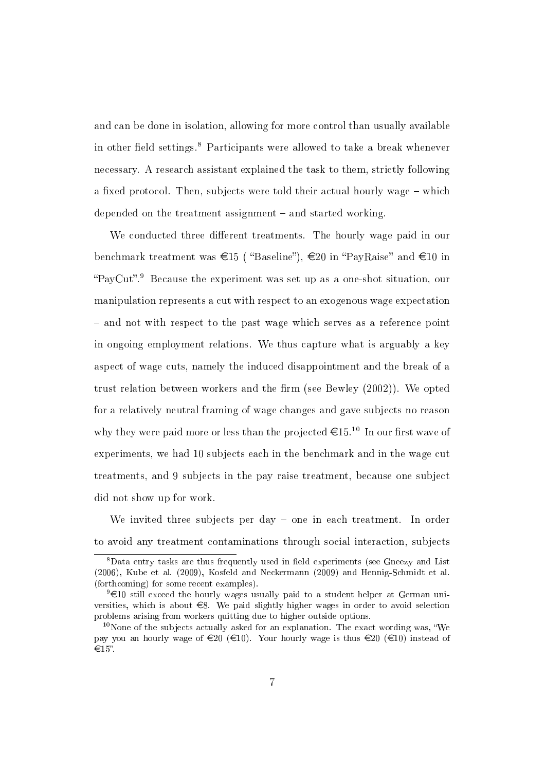and can be done in isolation, allowing for more control than usually available in other field settings.<sup>8</sup> Participants were allowed to take a break whenever necessary. A research assistant explained the task to them, strictly following a fixed protocol. Then, subjects were told their actual hourly wage  $-$  which depended on the treatment assignment  $-$  and started working.

We conducted three different treatments. The hourly wage paid in our benchmark treatment was  $\epsilon$ 15 ( "Baseline"),  $\epsilon$ 20 in "PayRaise" and  $\epsilon$ 10 in "PayCut".<sup>9</sup> Because the experiment was set up as a one-shot situation, our manipulation represents a cut with respect to an exogenous wage expectation and not with respect to the past wage which serves as a reference point in ongoing employment relations. We thus capture what is arguably a key aspect of wage cuts, namely the induced disappointment and the break of a trust relation between workers and the firm (see Bewley  $(2002)$ ). We opted for a relatively neutral framing of wage changes and gave subjects no reason why they were paid more or less than the projected  $\epsilon 15^{10}$  In our first wave of experiments, we had 10 subjects each in the benchmark and in the wage cut treatments, and 9 subjects in the pay raise treatment, because one subject did not show up for work.

We invited three subjects per day  $-$  one in each treatment. In order to avoid any treatment contaminations through social interaction, subjects

 $8$ Data entry tasks are thus frequently used in field experiments (see Gneezy and List (2006), Kube et al. (2009), Kosfeld and Neckermann (2009) and Hennig-Schmidt et al. (forthcoming) for some recent examples).

 $9 \in 10$  still exceed the hourly wages usually paid to a student helper at German universities, which is about  $\epsilon$ 8. We paid slightly higher wages in order to avoid selection problems arising from workers quitting due to higher outside options.

 $10$ None of the subjects actually asked for an explanation. The exact wording was, "We pay you an hourly wage of  $\in 20 \ (\infty)$ . Your hourly wage is thus  $\infty$   $(20 \ (\infty)$  instead of  $\in 15$ ".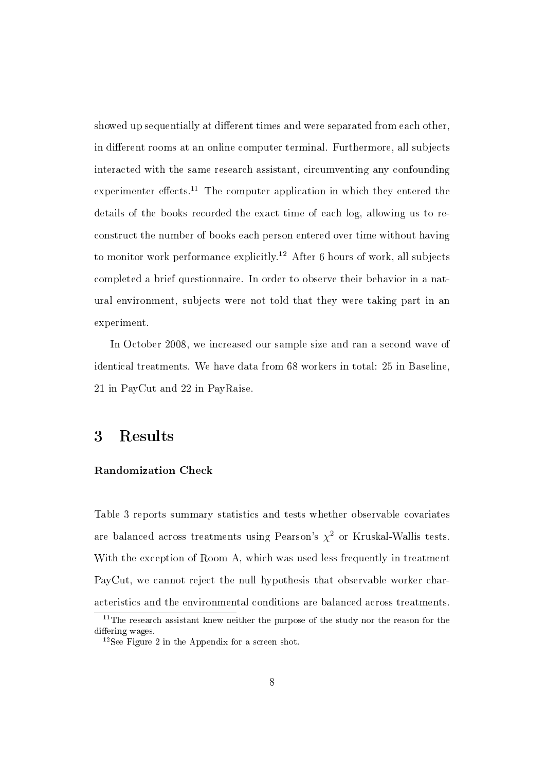showed up sequentially at different times and were separated from each other. in different rooms at an online computer terminal. Furthermore, all subjects interacted with the same research assistant, circumventing any confounding experimenter effects.<sup>11</sup> The computer application in which they entered the details of the books recorded the exact time of each log, allowing us to reconstruct the number of books each person entered over time without having to monitor work performance explicitly.<sup>12</sup> After 6 hours of work, all subjects completed a brief questionnaire. In order to observe their behavior in a natural environment, subjects were not told that they were taking part in an experiment.

In October 2008, we increased our sample size and ran a second wave of identical treatments. We have data from 68 workers in total: 25 in Baseline, 21 in PayCut and 22 in PayRaise.

### 3 Results

#### Randomization Check

Table 3 reports summary statistics and tests whether observable covariates are balanced across treatments using Pearson's  $\chi^2$  or Kruskal-Wallis tests. With the exception of Room A, which was used less frequently in treatment PayCut, we cannot reject the null hypothesis that observable worker characteristics and the environmental conditions are balanced across treatments.

 $11$ The research assistant knew neither the purpose of the study nor the reason for the differing wages.

 $12$ See Figure 2 in the Appendix for a screen shot.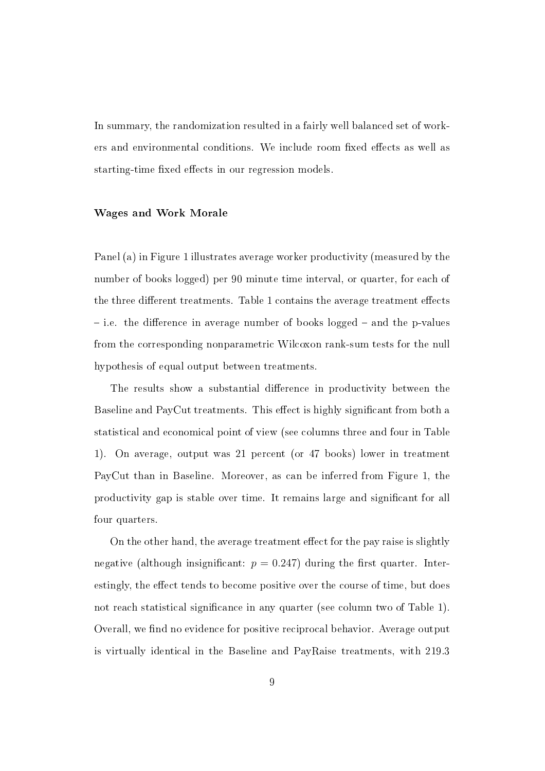In summary, the randomization resulted in a fairly well balanced set of workers and environmental conditions. We include room fixed effects as well as starting-time fixed effects in our regression models.

#### Wages and Work Morale

Panel (a) in Figure 1 illustrates average worker productivity (measured by the number of books logged) per 90 minute time interval, or quarter, for each of the three different treatments. Table 1 contains the average treatment effects  $i$ .e. the difference in average number of books logged  $-$  and the p-values from the corresponding nonparametric Wilcoxon rank-sum tests for the null hypothesis of equal output between treatments.

The results show a substantial difference in productivity between the Baseline and PayCut treatments. This effect is highly significant from both a statistical and economical point of view (see columns three and four in Table 1). On average, output was 21 percent (or 47 books) lower in treatment PayCut than in Baseline. Moreover, as can be inferred from Figure 1, the productivity gap is stable over time. It remains large and signicant for all four quarters.

On the other hand, the average treatment effect for the pay raise is slightly negative (although insignificant:  $p = 0.247$ ) during the first quarter. Interestingly, the effect tends to become positive over the course of time, but does not reach statistical significance in any quarter (see column two of Table 1). Overall, we find no evidence for positive reciprocal behavior. Average output is virtually identical in the Baseline and PayRaise treatments, with 219.3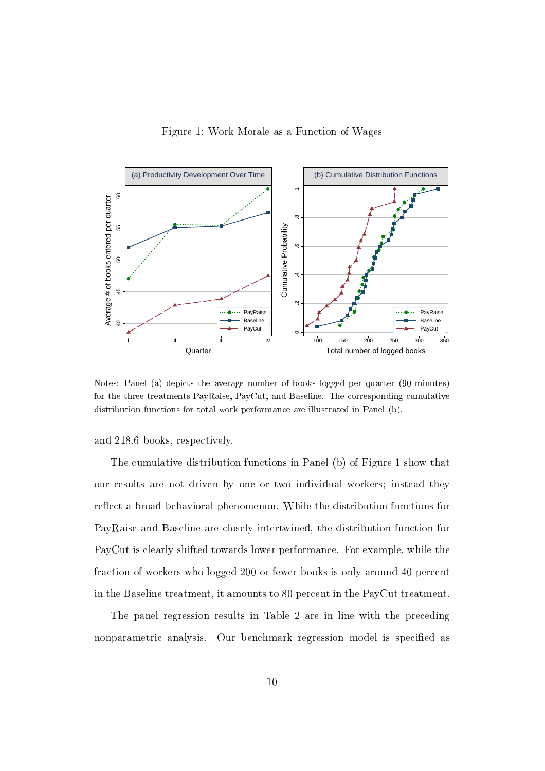Figure 1: Work Morale as a Function of Wages



Notes: Panel (a) depicts the average number of books logged per quarter (90 minutes) for the three treatments PayRaise, PayCut, and Baseline. The corresponding cumulative distribution functions for total work performance are illustrated in Panel (b).

and 218.6 books, respectively.

The cumulative distribution functions in Panel (b) of Figure 1 show that our results are not driven by one or two individual workers; instead they reflect a broad behavioral phenomenon. While the distribution functions for PayRaise and Baseline are closely intertwined, the distribution function for PayCut is clearly shifted towards lower performance. For example, while the fraction of workers who logged 200 or fewer books is only around 40 percent in the Baseline treatment, it amounts to 80 percent in the PayCut treatment.

The panel regression results in Table 2 are in line with the preceding nonparametric analysis. Our benchmark regression model is specified as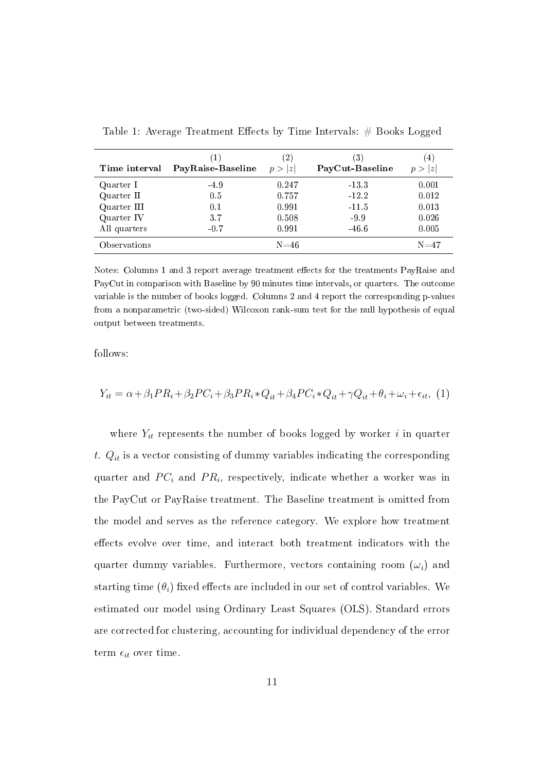| Time interval | (1)<br>PayRaise-Baseline | (2)<br>p >  z | 3)<br>PayCut-Baseline | $\overline{4}$<br> z |
|---------------|--------------------------|---------------|-----------------------|----------------------|
| Quarter I     | $-4.9$                   | 0.247         | $-13.3$               | 0.001                |
| Quarter II    | 0.5                      | 0.757         | $-12.2$               | 0.012                |
| Quarter III   | 0.1                      | 0.991         | $-11.5$               | 0.013                |
| Quarter IV    | 3.7                      | 0.508         | $-9.9$                | 0.026                |
| All quarters  | $-0.7$                   | 0.991         | $-46.6$               | 0.005                |
| Observations  |                          | $N = 46$      |                       | $N = 47$             |

Table 1: Average Treatment Effects by Time Intervals:  $#$  Books Logged

Notes: Columns 1 and 3 report average treatment effects for the treatments PayRaise and PayCut in comparison with Baseline by 90 minutes time intervals, or quarters. The outcome variable is the number of books logged. Columns 2 and 4 report the corresponding p-values from a nonparametric (two-sided) Wilcoxon rank-sum test for the null hypothesis of equal output between treatments.

follows:

$$
Y_{it} = \alpha + \beta_1 PR_i + \beta_2 PC_i + \beta_3 PR_i * Q_{it} + \beta_4 PC_i * Q_{it} + \gamma Q_{it} + \theta_i + \omega_i + \epsilon_{it},
$$
 (1)

where  $Y_{it}$  represents the number of books logged by worker i in quarter t.  $Q_{it}$  is a vector consisting of dummy variables indicating the corresponding quarter and  $PC_i$  and  $PR_i$ , respectively, indicate whether a worker was in the PayCut or PayRaise treatment. The Baseline treatment is omitted from the model and serves as the reference category. We explore how treatment effects evolve over time, and interact both treatment indicators with the quarter dummy variables. Furthermore, vectors containing room  $(\omega_i)$  and starting time  $(\theta_i)$  fixed effects are included in our set of control variables. We estimated our model using Ordinary Least Squares (OLS). Standard errors are corrected for clustering, accounting for individual dependency of the error term  $\epsilon_{it}$  over time.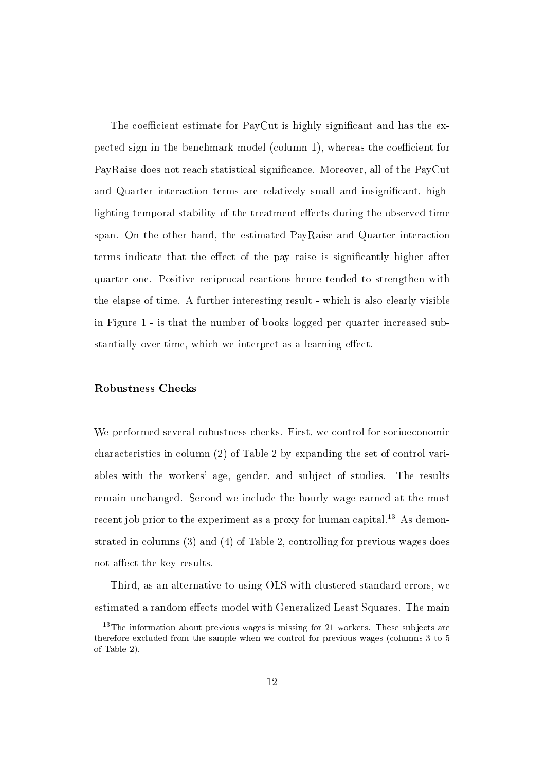The coefficient estimate for PayCut is highly significant and has the expected sign in the benchmark model (column 1), whereas the coefficient for PayRaise does not reach statistical signicance. Moreover, all of the PayCut and Quarter interaction terms are relatively small and insignicant, highlighting temporal stability of the treatment effects during the observed time span. On the other hand, the estimated PayRaise and Quarter interaction terms indicate that the effect of the pay raise is significantly higher after quarter one. Positive reciprocal reactions hence tended to strengthen with the elapse of time. A further interesting result - which is also clearly visible in Figure 1 - is that the number of books logged per quarter increased substantially over time, which we interpret as a learning effect.

#### Robustness Checks

We performed several robustness checks. First, we control for socioeconomic characteristics in column (2) of Table 2 by expanding the set of control variables with the workers' age, gender, and subject of studies. The results remain unchanged. Second we include the hourly wage earned at the most recent job prior to the experiment as a proxy for human capital.<sup>13</sup> As demonstrated in columns (3) and (4) of Table 2, controlling for previous wages does not affect the key results.

Third, as an alternative to using OLS with clustered standard errors, we estimated a random effects model with Generalized Least Squares. The main

 $13$ The information about previous wages is missing for 21 workers. These subjects are therefore excluded from the sample when we control for previous wages (columns 3 to 5 of Table 2).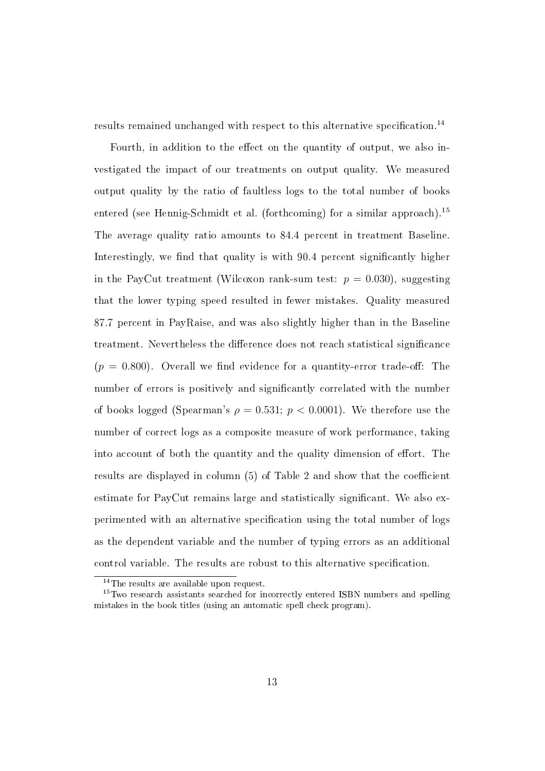results remained unchanged with respect to this alternative specification.<sup>14</sup>

Fourth, in addition to the effect on the quantity of output, we also investigated the impact of our treatments on output quality. We measured output quality by the ratio of faultless logs to the total number of books entered (see Hennig-Schmidt et al. (forthcoming) for a similar approach).<sup>15</sup> The average quality ratio amounts to 84.4 percent in treatment Baseline. Interestingly, we find that quality is with  $90.4$  percent significantly higher in the PayCut treatment (Wilcoxon rank-sum test:  $p = 0.030$ ), suggesting that the lower typing speed resulted in fewer mistakes. Quality measured 87.7 percent in PayRaise, and was also slightly higher than in the Baseline treatment. Nevertheless the difference does not reach statistical significance  $(p = 0.800)$ . Overall we find evidence for a quantity-error trade-off: The number of errors is positively and signicantly correlated with the number of books logged (Spearman's  $\rho = 0.531$ ;  $p < 0.0001$ ). We therefore use the number of correct logs as a composite measure of work performance, taking into account of both the quantity and the quality dimension of effort. The results are displayed in column  $(5)$  of Table 2 and show that the coefficient estimate for PayCut remains large and statistically significant. We also experimented with an alternative specification using the total number of logs as the dependent variable and the number of typing errors as an additional control variable. The results are robust to this alternative specification.

<sup>&</sup>lt;sup>14</sup>The results are available upon request.

<sup>&</sup>lt;sup>15</sup>Two research assistants searched for incorrectly entered ISBN numbers and spelling mistakes in the book titles (using an automatic spell check program).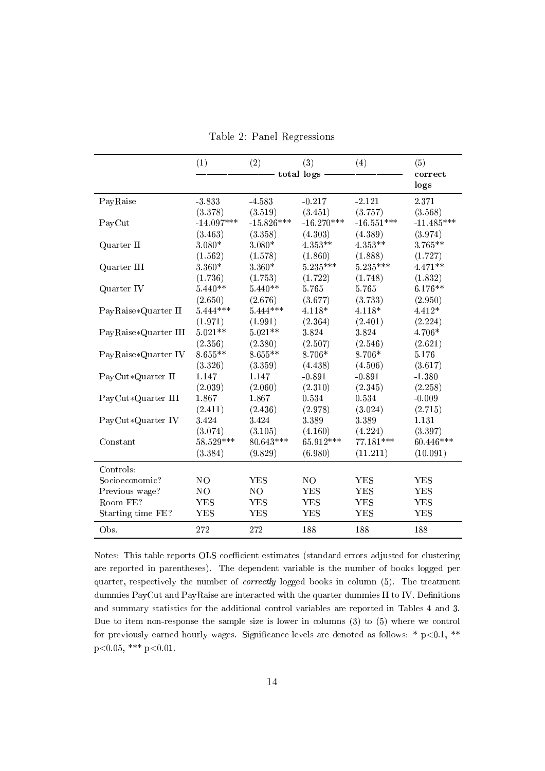|                      | (1)            | (2)          | (3)            | (4)          | (5)             |
|----------------------|----------------|--------------|----------------|--------------|-----------------|
|                      |                |              | total logs -   |              | correct<br>logs |
| PayRaise             | $-3.833$       | $-4.583$     | $-0.217$       | $-2.121$     | 2.371           |
|                      | (3.378)        | (3.519)      | (3.451)        | (3.757)      | (3.568)         |
| PayCut               | $-14.097***$   | $-15.826***$ | $-16.270***$   | $-16.551***$ | $-11.485***$    |
|                      | (3.463)        | (3.358)      | (4.303)        | (4.389)      | (3.974)         |
| Quarter II           | $3.080*$       | 3.080*       | 4.353**        | 4 353**      | 3.765**         |
|                      | (1.562)        | (1.578)      | (1.860)        | (1.888)      | (1.727)         |
| Quarter III          | $3.360*$       | 3.360*       | 5.235***       | $5.235***$   | 4.471**         |
|                      | (1.736)        | (1.753)      | (1.722)        | (1.748)      | (1.832)         |
| Quarter IV           | $5.440**$      | $5.440**$    | 5.765          | 5.765        | $6.176**$       |
|                      | (2.650)        | (2.676)      | (3.677)        | (3.733)      | (2.950)         |
| PayRaise*Quarter II  | $5.444***$     | $5.444***$   | 4.118*         | 4.118*       | 4.412*          |
|                      | (1.971)        | (1.991)      | (2.364)        | (2.401)      | (2.224)         |
| PayRaise*Quarter III | $5.021**$      | $5.021**$    | 3.824          | 3.824        | 4.706*          |
|                      | (2.356)        | (2.380)      | (2.507)        | (2.546)      | (2.621)         |
| PayRaise*Quarter IV  | $8.655**$      | $8.655**$    | 8.706*         | 8.706*       | 5.176           |
|                      | (3.326)        | (3.359)      | (4.438)        | (4.506)      | (3.617)         |
| PayCut*Quarter II    | 1.147          | 1.147        | $-0.891$       | $-0.891$     | $-1.380$        |
|                      | (2.039)        | (2.060)      | (2.310)        | (2.345)      | (2.258)         |
| PayCut*Quarter III   | 1.867          | 1.867        | 0.534          | 0.534        | $-0.009$        |
|                      | (2.411)        | (2.436)      | (2.978)        | (3.024)      | (2.715)         |
| PayCut*Quarter IV    | 3.424          | 3.424        | 3.389          | 3.389        | 1.131           |
|                      | (3.074)        | (3.105)      | (4.160)        | (4.224)      | (3.397)         |
| Constant             | 58.529 ***     | $80.643***$  | 65.912***      | $77.181***$  | 60.446***       |
|                      | (3.384)        | (9.829)      | (6.980)        | (11.211)     | (10.091)        |
| Controls:            |                |              |                |              |                 |
| Socioeconomic?       | N <sub>O</sub> | <b>YES</b>   | N <sub>O</sub> | <b>YES</b>   | <b>YES</b>      |
| Previous wage?       | NO             | NO           | <b>YES</b>     | <b>YES</b>   | <b>YES</b>      |
| Room FE?             | <b>YES</b>     | YES          | <b>YES</b>     | <b>YES</b>   | <b>YES</b>      |
| Starting time FE?    | <b>YES</b>     | <b>YES</b>   | <b>YES</b>     | <b>YES</b>   | <b>YES</b>      |
| Obs.                 | 272            | 272          | 188            | 188          | 188             |

Table 2: Panel Regressions

Notes: This table reports OLS coefficient estimates (standard errors adjusted for clustering are reported in parentheses). The dependent variable is the number of books logged per quarter, respectively the number of correctly logged books in column (5). The treatment dummies PayCut and PayRaise are interacted with the quarter dummies II to IV. Definitions and summary statistics for the additional control variables are reported in Tables 4 and 3. Due to item non-response the sample size is lower in columns (3) to (5) where we control for previously earned hourly wages. Significance levels are denoted as follows:  $* p<0.1$ ,  $**$  $p<0.05$ , \*\*\*  $p<0.01$ .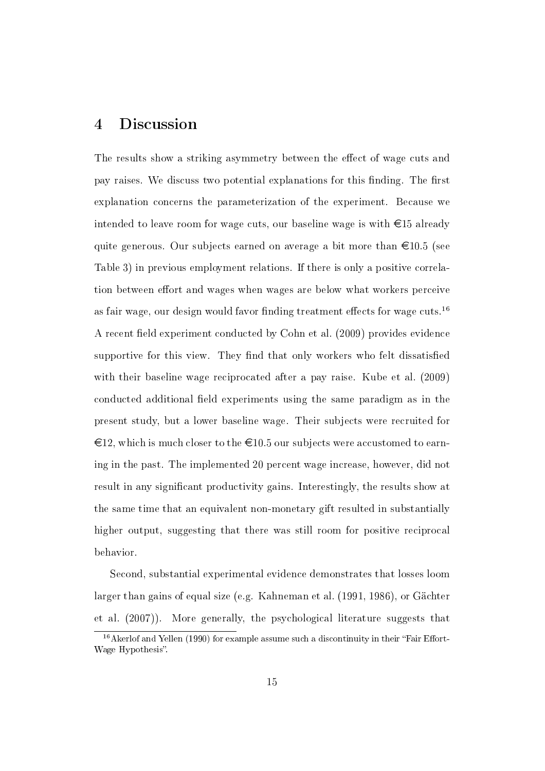## 4 Discussion

The results show a striking asymmetry between the effect of wage cuts and pay raises. We discuss two potential explanations for this finding. The first explanation concerns the parameterization of the experiment. Because we intended to leave room for wage cuts, our baseline wage is with  $\epsilon$ 15 already quite generous. Our subjects earned on average a bit more than  $\epsilon 10.5$  (see Table 3) in previous employment relations. If there is only a positive correlation between effort and wages when wages are below what workers perceive as fair wage, our design would favor finding treatment effects for wage cuts.<sup>16</sup> A recent field experiment conducted by Cohn et al. (2009) provides evidence supportive for this view. They find that only workers who felt dissatisfied with their baseline wage reciprocated after a pay raise. Kube et al. (2009) conducted additional field experiments using the same paradigm as in the present study, but a lower baseline wage. Their subjects were recruited for  $\epsilon$ 12, which is much closer to the  $\epsilon$ 10.5 our subjects were accustomed to earning in the past. The implemented 20 percent wage increase, however, did not result in any signicant productivity gains. Interestingly, the results show at the same time that an equivalent non-monetary gift resulted in substantially higher output, suggesting that there was still room for positive reciprocal behavior.

Second, substantial experimental evidence demonstrates that losses loom larger than gains of equal size (e.g. Kahneman et al. (1991, 1986), or Gächter et al. (2007)). More generally, the psychological literature suggests that

 $16$ Akerlof and Yellen (1990) for example assume such a discontinuity in their "Fair Effort-Wage Hypothesis".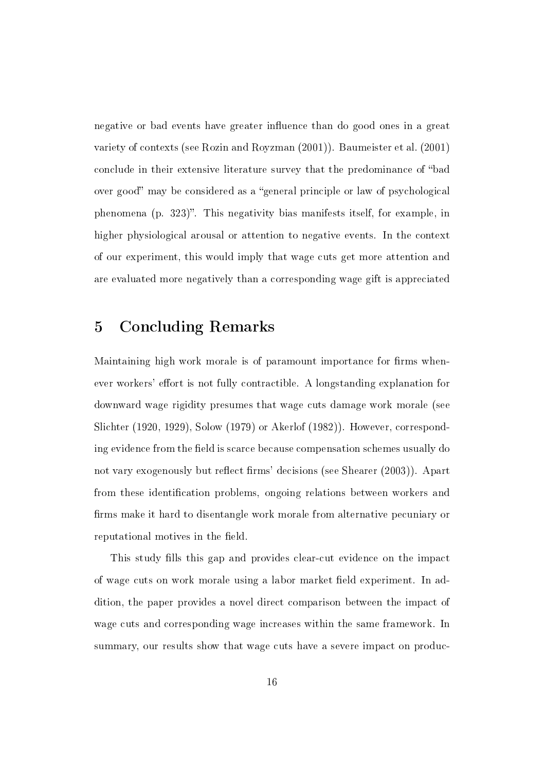negative or bad events have greater influence than do good ones in a great variety of contexts (see Rozin and Royzman (2001)). Baumeister et al. (2001) conclude in their extensive literature survey that the predominance of "bad over good" may be considered as a "general principle or law of psychological phenomena (p. 323). This negativity bias manifests itself, for example, in higher physiological arousal or attention to negative events. In the context of our experiment, this would imply that wage cuts get more attention and are evaluated more negatively than a corresponding wage gift is appreciated

### 5 Concluding Remarks

Maintaining high work morale is of paramount importance for firms whenever workers' effort is not fully contractible. A longstanding explanation for downward wage rigidity presumes that wage cuts damage work morale (see Slichter (1920, 1929), Solow (1979) or Akerlof (1982)). However, corresponding evidence from the field is scarce because compensation schemes usually do not vary exogenously but reflect firms' decisions (see Shearer (2003)). Apart from these identification problems, ongoing relations between workers and firms make it hard to disentangle work morale from alternative pecuniary or reputational motives in the field.

This study fills this gap and provides clear-cut evidence on the impact of wage cuts on work morale using a labor market field experiment. In addition, the paper provides a novel direct comparison between the impact of wage cuts and corresponding wage increases within the same framework. In summary, our results show that wage cuts have a severe impact on produc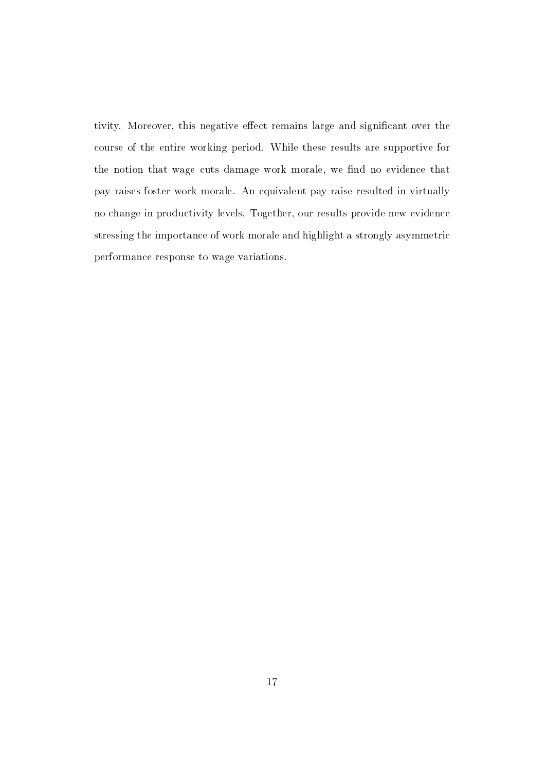tivity. Moreover, this negative effect remains large and significant over the course of the entire working period. While these results are supportive for the notion that wage cuts damage work morale, we find no evidence that pay raises foster work morale. An equivalent pay raise resulted in virtually no change in productivity levels. Together, our results provide new evidence stressing the importance of work morale and highlight a strongly asymmetric performance response to wage variations.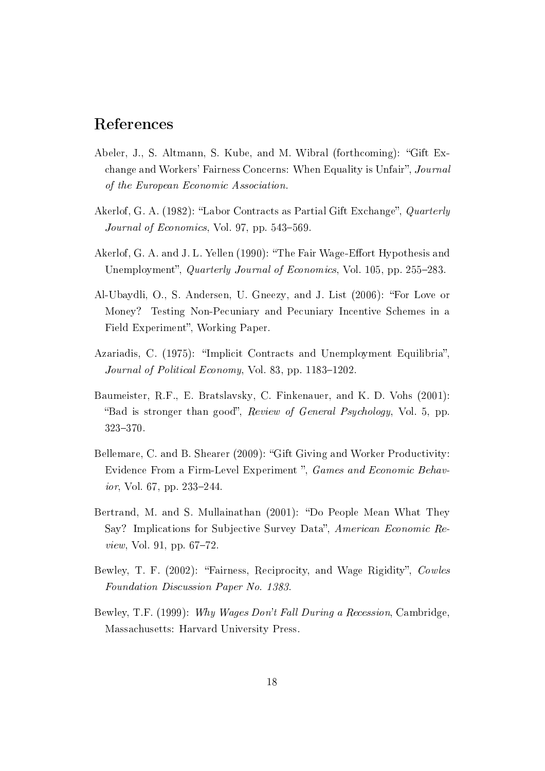## References

- Abeler, J., S. Altmann, S. Kube, and M. Wibral (forthcoming): "Gift Exchange and Workers' Fairness Concerns: When Equality is Unfair", Journal of the European Economic Association.
- Akerlof, G. A. (1982): "Labor Contracts as Partial Gift Exchange", *Quarterly* Journal of Economics, Vol. 97, pp.  $543-569$ .
- Akerlof, G. A. and J. L. Yellen (1990): "The Fair Wage-Effort Hypothesis and Unemployment", *Quarterly Journal of Economics*, Vol. 105, pp. 255–283.
- Al-Ubaydli, O., S. Andersen, U. Gneezy, and J. List (2006): For Love or Money? Testing Non-Pecuniary and Pecuniary Incentive Schemes in a Field Experiment", Working Paper.
- Azariadis, C. (1975): "Implicit Contracts and Unemployment Equilibria". Journal of Political Economy, Vol. 83, pp.  $1183-1202$ .
- Baumeister, R.F., E. Bratslavsky, C. Finkenauer, and K. D. Vohs (2001): "Bad is stronger than good", Review of General Psychology, Vol. 5, pp. 323-370.
- Bellemare, C. and B. Shearer (2009): "Gift Giving and Worker Productivity: Evidence From a Firm-Level Experiment", Games and Economic Behav*ior*, Vol. 67, pp.  $233-244$ .
- Bertrand, M. and S. Mullainathan (2001): "Do People Mean What They Say? Implications for Subjective Survey Data", American Economic Re*view*, Vol. 91, pp.  $67-72$ .
- Bewley, T. F. (2002): "Fairness, Reciprocity, and Wage Rigidity", Cowles Foundation Discussion Paper No. 1383.
- Bewley, T.F. (1999): Why Wages Don't Fall During a Recession, Cambridge, Massachusetts: Harvard University Press.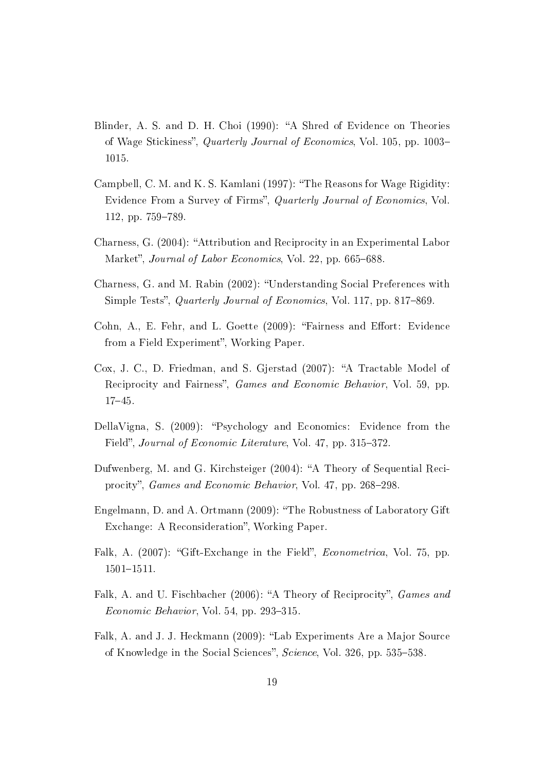- Blinder, A. S. and D. H. Choi (1990): "A Shred of Evidence on Theories of Wage Stickiness", Quarterly Journal of Economics, Vol. 105, pp. 1003– 1015.
- Campbell, C. M. and K. S. Kamlani (1997): "The Reasons for Wage Rigidity: Evidence From a Survey of Firms", Quarterly Journal of Economics, Vol. 112, pp. 759–789.
- Charness, G. (2004): "Attribution and Reciprocity in an Experimental Labor Market", *Journal of Labor Economics*, Vol. 22, pp. 665–688.
- Charness, G. and M. Rabin (2002): Understanding Social Preferences with Simple Tests", *Quarterly Journal of Economics*, Vol. 117, pp. 817–869.
- Cohn, A., E. Fehr, and L. Goette (2009): "Fairness and Effort: Evidence from a Field Experiment", Working Paper.
- Cox, J. C., D. Friedman, and S. Gjerstad (2007): "A Tractable Model of Reciprocity and Fairness", *Games and Economic Behavior*, Vol. 59, pp. 1745.
- DellaVigna, S. (2009): "Psychology and Economics: Evidence from the Field", Journal of Economic Literature, Vol. 47, pp. 315–372.
- Dufwenberg, M. and G. Kirchsteiger (2004): "A Theory of Sequential Reciprocity", Games and Economic Behavior, Vol. 47, pp. 268–298.
- Engelmann, D. and A. Ortmann (2009): "The Robustness of Laboratory Gift Exchange: A Reconsideration", Working Paper.
- Falk, A. (2007): "Gift-Exchange in the Field", *Econometrica*, Vol. 75, pp.  $1501 - 1511.$
- Falk, A. and U. Fischbacher (2006): "A Theory of Reciprocity", *Games and*  $Economic Behavior$ , Vol. 54, pp. 293-315.
- Falk, A. and J. J. Heckmann (2009): "Lab Experiments Are a Major Source of Knowledge in the Social Sciences", Science, Vol. 326, pp. 535–538.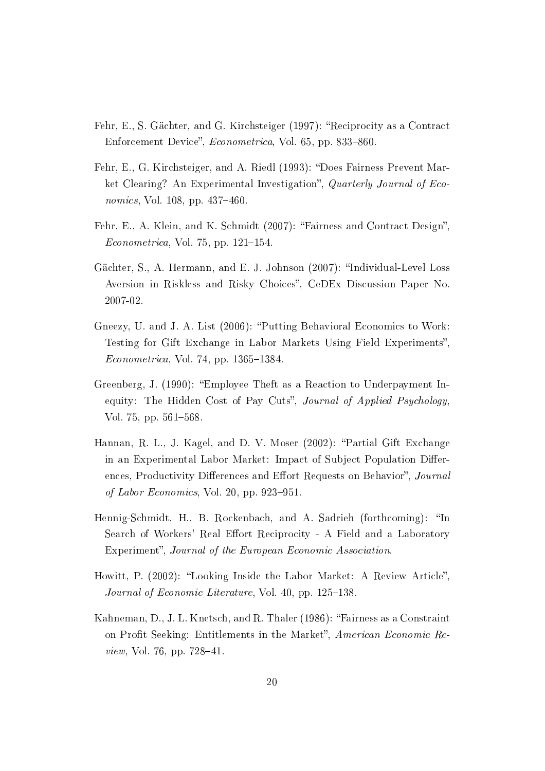- Fehr, E., S. Gächter, and G. Kirchsteiger (1997): "Reciprocity as a Contract Enforcement Device", *Econometrica*, Vol. 65, pp. 833-860.
- Fehr, E., G. Kirchsteiger, and A. Riedl (1993): "Does Fairness Prevent Market Clearing? An Experimental Investigation", Quarterly Journal of Economics, Vol. 108, pp.  $437-460$ .
- Fehr, E., A. Klein, and K. Schmidt (2007): "Fairness and Contract Design"  $Econometrica$ , Vol. 75, pp. 121–154.
- Gächter, S., A. Hermann, and E. J. Johnson (2007): "Individual-Level Loss Aversion in Riskless and Risky Choices", CeDEx Discussion Paper No. 2007-02.
- Gneezy, U. and J. A. List (2006): "Putting Behavioral Economics to Work: Testing for Gift Exchange in Labor Markets Using Field Experiments"  $Econometrica$ , Vol. 74, pp. 1365–1384.
- Greenberg, J. (1990): Employee Theft as a Reaction to Underpayment Inequity: The Hidden Cost of Pay Cuts", Journal of Applied Psychology, Vol. 75, pp. 561-568.
- Hannan, R. L., J. Kagel, and D. V. Moser (2002): "Partial Gift Exchange in an Experimental Labor Market: Impact of Subject Population Differences, Productivity Differences and Effort Requests on Behavior", Journal of Labor Economics, Vol. 20, pp. 923-951.
- Hennig-Schmidt, H., B. Rockenbach, and A. Sadrieh (forthcoming): "In Search of Workers' Real Effort Reciprocity - A Field and a Laboratory Experiment", Journal of the European Economic Association.
- Howitt, P. (2002): "Looking Inside the Labor Market: A Review Article". Journal of Economic Literature, Vol. 40, pp.  $125-138$ .
- Kahneman, D., J. L. Knetsch, and R. Thaler (1986): "Fairness as a Constraint on Profit Seeking: Entitlements in the Market", American Economic Re*view*, Vol. 76, pp.  $728-41$ .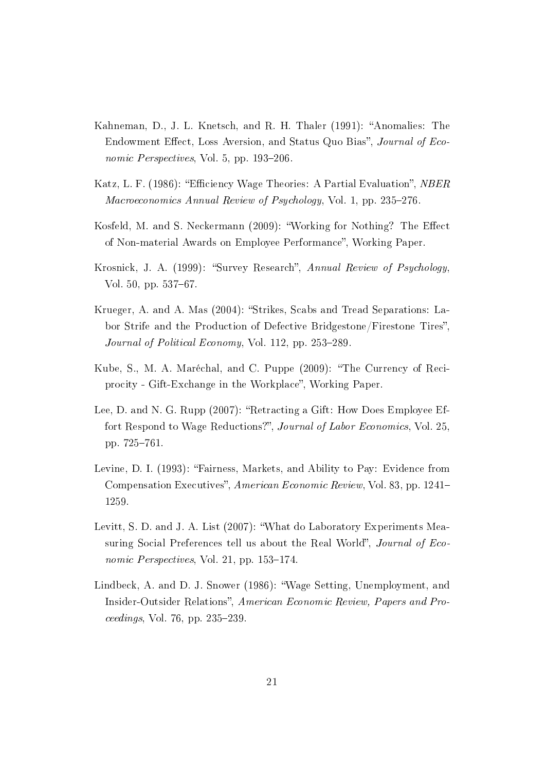- Kahneman, D., J. L. Knetsch, and R. H. Thaler (1991): "Anomalies: The Endowment Effect, Loss Aversion, and Status Quo Bias", Journal of Economic Perspectives, Vol. 5, pp.  $193-206$ .
- Katz, L. F. (1986): "Efficiency Wage Theories: A Partial Evaluation", *NBER* Macroeconomics Annual Review of Psychology, Vol. 1, pp.  $235-276$ .
- Kosfeld, M. and S. Neckermann (2009): "Working for Nothing? The Effect of Non-material Awards on Employee Performance", Working Paper.
- Krosnick, J. A. (1999): "Survey Research", Annual Review of Psychology, Vol. 50, pp. 537–67.
- Krueger, A. and A. Mas (2004): "Strikes, Scabs and Tread Separations: Labor Strife and the Production of Defective Bridgestone/Firestone Tires". Journal of Political Economy, Vol. 112, pp.  $253-289$ .
- Kube, S., M. A. Maréchal, and C. Puppe (2009): The Currency of Reciprocity - Gift-Exchange in the Workplace", Working Paper.
- Lee, D. and N. G. Rupp (2007): "Retracting a Gift: How Does Employee Effort Respond to Wage Reductions?", Journal of Labor Economics, Vol. 25. pp. 725-761.
- Levine, D. I. (1993): "Fairness, Markets, and Ability to Pay: Evidence from Compensation Executives", American Economic Review, Vol. 83, pp. 1241– 1259.
- Levitt, S. D. and J. A. List (2007): What do Laboratory Experiments Measuring Social Preferences tell us about the Real World", *Journal of Eco*nomic Perspectives, Vol. 21, pp.  $153-174$ .
- Lindbeck, A. and D. J. Snower (1986): Wage Setting, Unemployment, and Insider-Outsider Relations", American Economic Review, Papers and Pro $ceedings, Vol. 76, pp. 235-239.$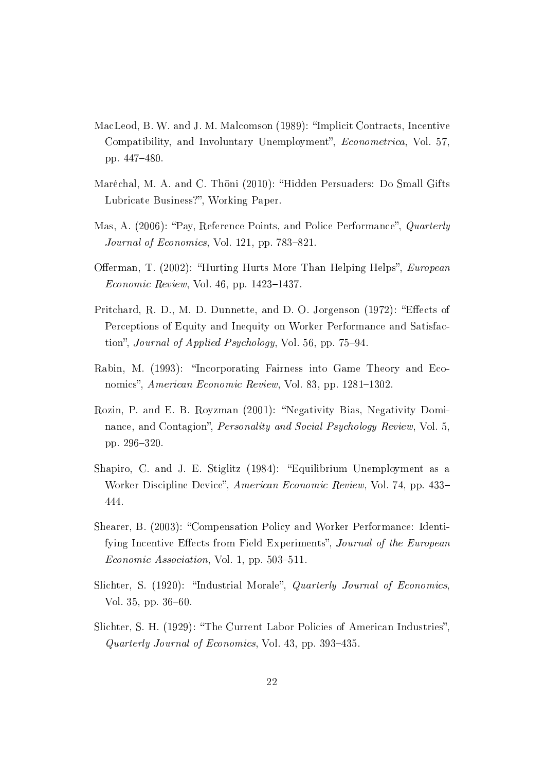- MacLeod, B. W. and J. M. Malcomson (1989): "Implicit Contracts, Incentive Compatibility, and Involuntary Unemployment", *Econometrica*, Vol. 57. pp. 447-480
- Maréchal, M. A. and C. Thöni (2010): "Hidden Persuaders: Do Small Gifts Lubricate Business?", Working Paper.
- Mas, A. (2006): "Pay, Reference Points, and Police Performance", Quarterly Journal of Economics, Vol. 121, pp.  $783-821$ .
- Offerman, T. (2002): "Hurting Hurts More Than Helping Helps", *European*  $Economic Review, Vol. 46, pp. 1423-1437.$
- Pritchard, R. D., M. D. Dunnette, and D. O. Jorgenson (1972): "Effects of Perceptions of Equity and Inequity on Worker Performance and Satisfaction", Journal of Applied Psychology, Vol. 56, pp.  $75-94$ .
- Rabin, M. (1993): "Incorporating Fairness into Game Theory and Economics", American Economic Review, Vol. 83, pp. 1281–1302.
- Rozin, P. and E. B. Royzman (2001): "Negativity Bias, Negativity Dominance, and Contagion". *Personality and Social Psychology Review*, Vol. 5, pp. 296-320
- Shapiro, C. and J. E. Stiglitz (1984): "Equilibrium Unemployment as a Worker Discipline Device", American Economic Review, Vol. 74, pp. 433– 444.
- Shearer, B. (2003): Compensation Policy and Worker Performance: Identifying Incentive Effects from Field Experiments", Journal of the European  $Economic Association, Vol. 1, pp. 503-511.$
- Slichter, S. (1920): "Industrial Morale", Quarterly Journal of Economics, Vol. 35, pp.  $36-60$ .
- Slichter, S. H. (1929): "The Current Labor Policies of American Industries", Quarterly Journal of Economics, Vol. 43, pp. 393-435.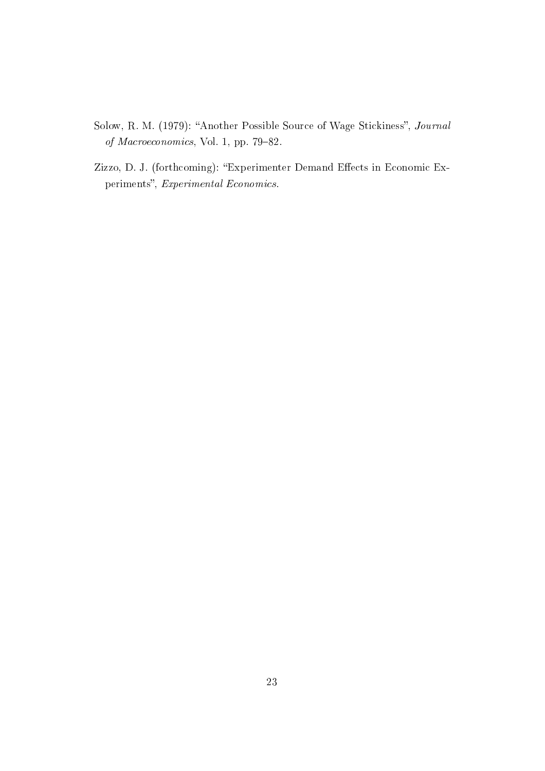- Solow, R. M. (1979): "Another Possible Source of Wage Stickiness", Journal of Macroeconomics, Vol. 1, pp. 79-82.
- Zizzo, D. J. (forthcoming): "Experimenter Demand Effects in Economic Experiments", Experimental Economics.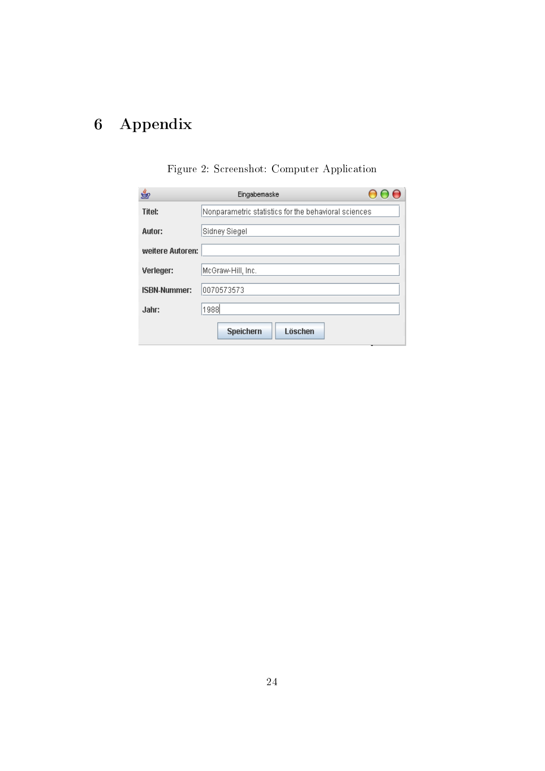# 6 Appendix

| ý                   | Eingabernaske                                        |  |
|---------------------|------------------------------------------------------|--|
| <b>Titel:</b>       | Nonparametric statistics for the behavioral sciences |  |
| Autor:              | Sidney Siegel                                        |  |
| weitere Autoren:    |                                                      |  |
| Verleger:           | McGraw-Hill, Inc.                                    |  |
| <b>ISBN-Nummer:</b> | 0070573573                                           |  |
| Jahr:               | 1988                                                 |  |
|                     | Löschen<br><b>Speichern</b>                          |  |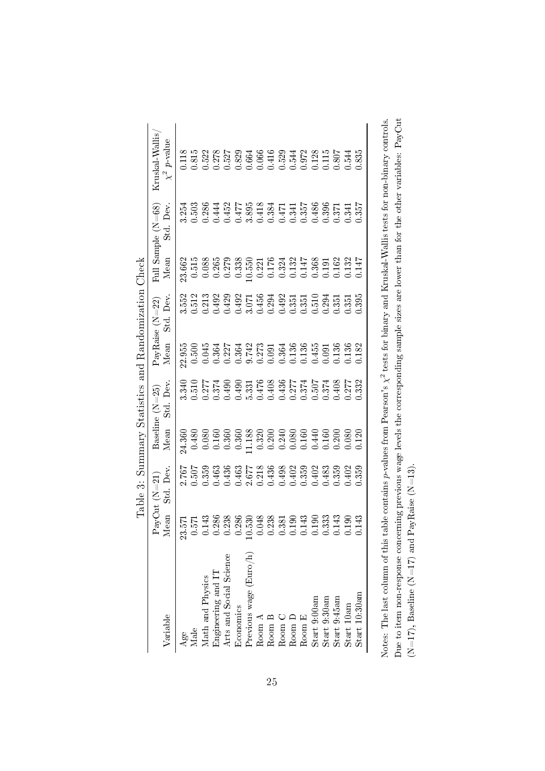|                                                                                                                                                           |                                           | Table 3: Summary Statistics and Randomization Check                                                                                                                                                                                                                                                 |                                                                                                                                                                                                                                                                                                     |                                                                                                                                                                                                                                                                                                     |                                                                                                                                                                            |                   |                                                                                                                                           |                                                                     |                                                                                                             |
|-----------------------------------------------------------------------------------------------------------------------------------------------------------|-------------------------------------------|-----------------------------------------------------------------------------------------------------------------------------------------------------------------------------------------------------------------------------------------------------------------------------------------------------|-----------------------------------------------------------------------------------------------------------------------------------------------------------------------------------------------------------------------------------------------------------------------------------------------------|-----------------------------------------------------------------------------------------------------------------------------------------------------------------------------------------------------------------------------------------------------------------------------------------------------|----------------------------------------------------------------------------------------------------------------------------------------------------------------------------|-------------------|-------------------------------------------------------------------------------------------------------------------------------------------|---------------------------------------------------------------------|-------------------------------------------------------------------------------------------------------------|
|                                                                                                                                                           |                                           | $\mathrm{a}\mathrm{y}\mathrm{Cut}$ (N=21)                                                                                                                                                                                                                                                           |                                                                                                                                                                                                                                                                                                     | Baseline $(N=25)$                                                                                                                                                                                                                                                                                   |                                                                                                                                                                            | PayRaise $(N=22)$ |                                                                                                                                           | Full Sample (N=68)                                                  | Kruskal-Wallis                                                                                              |
| Variable                                                                                                                                                  | lean                                      | Std. Dev                                                                                                                                                                                                                                                                                            | Mean                                                                                                                                                                                                                                                                                                | Std. Dev                                                                                                                                                                                                                                                                                            | Mean                                                                                                                                                                       | Std. Dev          | Mean                                                                                                                                      | Dev.                                                                | $\chi^2$ p-value                                                                                            |
| Age                                                                                                                                                       | L2<br>23.                                 |                                                                                                                                                                                                                                                                                                     | 24.360                                                                                                                                                                                                                                                                                              | 3.340                                                                                                                                                                                                                                                                                               | 22.955                                                                                                                                                                     |                   | 23.662                                                                                                                                    | 3.254                                                               | $0.118$                                                                                                     |
| Vlale                                                                                                                                                     | $57\frac{3}{143}$                         |                                                                                                                                                                                                                                                                                                     |                                                                                                                                                                                                                                                                                                     |                                                                                                                                                                                                                                                                                                     |                                                                                                                                                                            |                   |                                                                                                                                           |                                                                     |                                                                                                             |
| <b><i>Aath</i></b> and Physics                                                                                                                            |                                           | $\begin{array}{l} 2.767 \\ 2.507 \\ 0.509 \\ 0.439 \\ 0.436 \\ 0.436 \\ 0.507 \\ 0.436 \\ 0.507 \\ 0.507 \\ 0.508 \\ 0.509 \\ 0.509 \\ 0.509 \\ 0.509 \\ 0.509 \\ 0.509 \\ 0.509 \\ 0.509 \\ 0.509 \\ 0.509 \\ 0.509 \\ 0.509 \\ 0.509 \\ 0.509 \\ 0.509 \\ 0.509 \\ 0.509 \\ 0.509 \\ 0.509 \\ 0.$ | $0.480$<br>0.080                                                                                                                                                                                                                                                                                    | $\begin{array}{l} 0.510 \\ 0.277 \\ 0.374 \\ 0.490 \\ 0.433 \\ 0.450 \\ 0.577 \\ 0.490 \\ 0.531 \\ 0.408 \\ 0.577 \\ 0.574 \\ 0.574 \\ 0.574 \\ 0.574 \\ 0.574 \\ 0.574 \\ 0.574 \\ 0.574 \\ 0.574 \\ 0.574 \\ 0.574 \\ 0.574 \\ 0.574 \\ 0.574 \\ 0.574 \\ 0.574 \\ 0.574 \\ 0.574 \\ 0.574 \\ 0.$ | $0.500$<br>$0.045$                                                                                                                                                         |                   | $\begin{array}{c} 0.515 \\ 0.088 \end{array}$                                                                                             | 563<br>63844258343454386<br>638442583455455686<br>63842563455455686 | 0.815<br>0.5278<br>0.5278 829 325 326 3278 50.543<br>0.600 354 362 562 562 563 564<br>0.600 563 562 563 564 |
| Ingineering and IT                                                                                                                                        | 286                                       |                                                                                                                                                                                                                                                                                                     |                                                                                                                                                                                                                                                                                                     |                                                                                                                                                                                                                                                                                                     |                                                                                                                                                                            |                   |                                                                                                                                           |                                                                     |                                                                                                             |
| Arts and Social Science                                                                                                                                   | 238                                       |                                                                                                                                                                                                                                                                                                     |                                                                                                                                                                                                                                                                                                     |                                                                                                                                                                                                                                                                                                     |                                                                                                                                                                            |                   |                                                                                                                                           |                                                                     |                                                                                                             |
| Economics                                                                                                                                                 | 286                                       |                                                                                                                                                                                                                                                                                                     |                                                                                                                                                                                                                                                                                                     |                                                                                                                                                                                                                                                                                                     |                                                                                                                                                                            |                   |                                                                                                                                           |                                                                     |                                                                                                             |
| Previous wage (Euro/h)                                                                                                                                    | 530                                       |                                                                                                                                                                                                                                                                                                     |                                                                                                                                                                                                                                                                                                     |                                                                                                                                                                                                                                                                                                     |                                                                                                                                                                            |                   |                                                                                                                                           |                                                                     |                                                                                                             |
| Room A                                                                                                                                                    | 048                                       |                                                                                                                                                                                                                                                                                                     |                                                                                                                                                                                                                                                                                                     |                                                                                                                                                                                                                                                                                                     |                                                                                                                                                                            |                   |                                                                                                                                           |                                                                     |                                                                                                             |
| Room B                                                                                                                                                    | $\begin{array}{c} 238 \\ 381 \end{array}$ |                                                                                                                                                                                                                                                                                                     | $\begin{array}{l} 60.36 \\ 0.368 \\ 0.378 \\ 0.389 \\ 0.389 \\ 0.300 \\ 0.300 \\ 0.300 \\ 0.300 \\ 0.300 \\ 0.300 \\ 0.300 \\ 0.300 \\ 0.300 \\ 0.300 \\ 0.300 \\ 0.300 \\ 0.300 \\ 0.300 \\ 0.300 \\ 0.300 \\ 0.300 \\ 0.300 \\ 0.300 \\ 0.300 \\ 0.300 \\ 0.300 \\ 0.300 \\ 0.300 \\ 0.300 \\ 0.$ |                                                                                                                                                                                                                                                                                                     | $\begin{array}{l} 0.364 \\ 0.227 \\ 0.364 \\ 0.364 \\ 0.373 \\ 0.01 \\ 0.036 \\ 0.036 \\ 0.0136 \\ 0.001 \\ 0.0136 \\ 0.0136 \\ 0.0136 \\ 0.0136 \\ 0.0136 \\ \end{array}$ |                   | $\begin{array}{c} 0.265 \\ 0.279 \\ 0.538 \\ 0.0550 \\ 0.0176 \\ 0.0176 \\ 0.0174 \\ 0.0147 \\ 0.0324 \\ 0.0191 \\ 0.0191 \\ \end{array}$ |                                                                     |                                                                                                             |
| Room C                                                                                                                                                    |                                           |                                                                                                                                                                                                                                                                                                     |                                                                                                                                                                                                                                                                                                     |                                                                                                                                                                                                                                                                                                     |                                                                                                                                                                            |                   |                                                                                                                                           |                                                                     |                                                                                                             |
| Room D                                                                                                                                                    | $\overline{190}$                          |                                                                                                                                                                                                                                                                                                     |                                                                                                                                                                                                                                                                                                     |                                                                                                                                                                                                                                                                                                     |                                                                                                                                                                            |                   |                                                                                                                                           |                                                                     |                                                                                                             |
| Room $E$                                                                                                                                                  | 143                                       |                                                                                                                                                                                                                                                                                                     |                                                                                                                                                                                                                                                                                                     |                                                                                                                                                                                                                                                                                                     |                                                                                                                                                                            |                   |                                                                                                                                           |                                                                     |                                                                                                             |
| Start 9:00am                                                                                                                                              | $190\,$                                   | $0.402$<br>$0.483$                                                                                                                                                                                                                                                                                  |                                                                                                                                                                                                                                                                                                     |                                                                                                                                                                                                                                                                                                     |                                                                                                                                                                            |                   |                                                                                                                                           |                                                                     |                                                                                                             |
| Start 9:30am                                                                                                                                              | 333                                       |                                                                                                                                                                                                                                                                                                     |                                                                                                                                                                                                                                                                                                     |                                                                                                                                                                                                                                                                                                     |                                                                                                                                                                            |                   |                                                                                                                                           |                                                                     |                                                                                                             |
| Start 9:45am                                                                                                                                              | 143                                       | 0.359                                                                                                                                                                                                                                                                                               |                                                                                                                                                                                                                                                                                                     |                                                                                                                                                                                                                                                                                                     |                                                                                                                                                                            |                   | $\frac{0.162}{0.132}$                                                                                                                     | $0.371$<br>$0.341$                                                  |                                                                                                             |
| Start 10am                                                                                                                                                | $\overline{190}$                          | 1.402                                                                                                                                                                                                                                                                                               | 0.080                                                                                                                                                                                                                                                                                               |                                                                                                                                                                                                                                                                                                     |                                                                                                                                                                            |                   |                                                                                                                                           |                                                                     |                                                                                                             |
| Start 10:30am                                                                                                                                             | 143                                       | 0.359                                                                                                                                                                                                                                                                                               | 0.120                                                                                                                                                                                                                                                                                               |                                                                                                                                                                                                                                                                                                     | 1.182                                                                                                                                                                      | 1.395             | 0.147                                                                                                                                     | 0.357                                                               | 1.835                                                                                                       |
| Note: The loct column of this to ble contains m unlings from Degreem's $\lambda^2$ torts for himage of $X$ meled $X$ multiplic to the non-himage controls |                                           |                                                                                                                                                                                                                                                                                                     |                                                                                                                                                                                                                                                                                                     |                                                                                                                                                                                                                                                                                                     |                                                                                                                                                                            |                   |                                                                                                                                           |                                                                     |                                                                                                             |

Notes: The last column of this table contains p-values from Pearson's  $\chi^2$  tests for binary and Kruskal-Wallis tests for non-binary controls. Due to item non-response concerning previous wage levels the corresponding sample sizes are lower than for the other variables: PayCut Notes: The last column of this table contains p-values from Pearson's  $\chi^2$  tests for binary and Kruskal-Wallis tests for non-binary controls. Due to item non-response concerning previous wage levels the corresponding sample sizes are lower than for the other variables: PayCut (N=17), Baseline (N=17) and PayRaise (N=13). (N=17), Baseline (N=17) and PayRaise (N=13).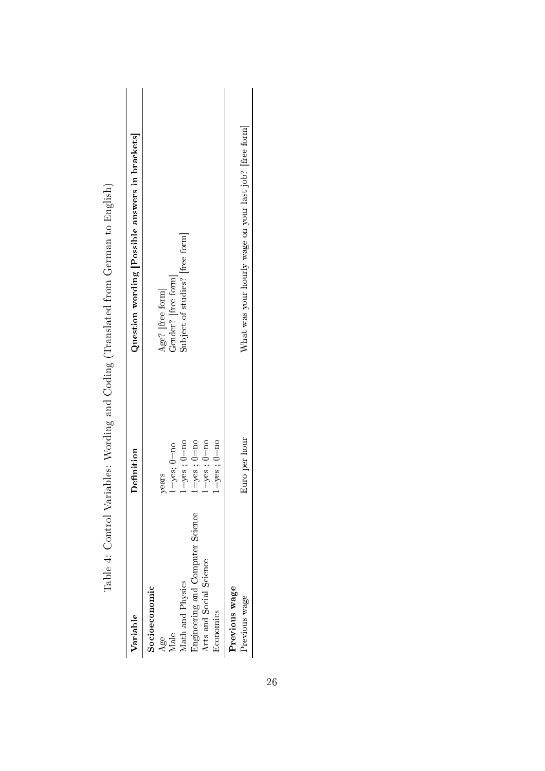| Variable                                                                                                                                                    | Definition                                                                                                                    | Question wording [Possible answers in brackets]                            |
|-------------------------------------------------------------------------------------------------------------------------------------------------------------|-------------------------------------------------------------------------------------------------------------------------------|----------------------------------------------------------------------------|
| <b>Engineering and Computer Science</b><br>Arts and Social Science<br>${\rm Age}$ Male $$\rm Math\,$ and $\rm Physics$<br>Socioeconomic<br><b>Economics</b> | $1 = yes$ ; $0 = no$<br>$1 = yes$ ; $0 = no$<br>$1 = yes$ ; $0 = no$<br>$l = yes$ ; $0 = no$<br>$1 = yes$ ; $0 = no$<br>years | Subject of studies? [free form]<br>Age? [free form]<br>Gender? [free form] |
| Previous wage<br>Previous wage                                                                                                                              | Euro per hour                                                                                                                 | What was your hourly wage on your last job? [free form]                    |
|                                                                                                                                                             |                                                                                                                               |                                                                            |

Table 4: Control Variables: Wording and Coding (Translated from German to English) Table 4: Control Variables: Wording and Coding (Translated from German to English)